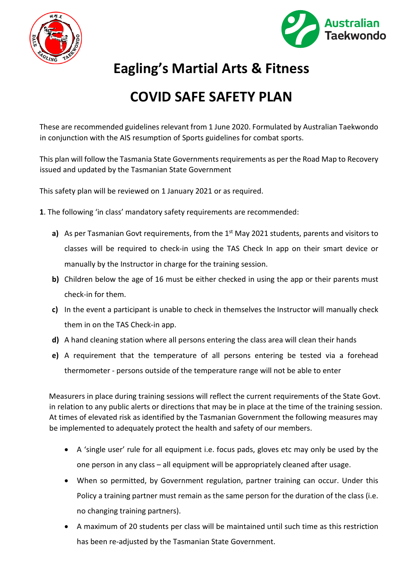



## **Eagling's Martial Arts & Fitness**

## **COVID SAFE SAFETY PLAN**

These are recommended guidelines relevant from 1 June 2020. Formulated by Australian Taekwondo in conjunction with the AIS resumption of Sports guidelines for combat sports.

This plan will follow the Tasmania State Governments requirements as per the Road Map to Recovery issued and updated by the Tasmanian State Government

This safety plan will be reviewed on 1 January 2021 or as required.

- **1**. The following 'in class' mandatory safety requirements are recommended:
	- **a)** As per Tasmanian Govt requirements, from the 1<sup>st</sup> May 2021 students, parents and visitors to classes will be required to check-in using the TAS Check In app on their smart device or manually by the Instructor in charge for the training session.
	- **b)** Children below the age of 16 must be either checked in using the app or their parents must check-in for them.
	- **c)** In the event a participant is unable to check in themselves the Instructor will manually check them in on the TAS Check-in app.
	- **d)** A hand cleaning station where all persons entering the class area will clean their hands
	- **e)** A requirement that the temperature of all persons entering be tested via a forehead thermometer - persons outside of the temperature range will not be able to enter

Measurers in place during training sessions will reflect the current requirements of the State Govt. in relation to any public alerts or directions that may be in place at the time of the training session. At times of elevated risk as identified by the Tasmanian Government the following measures may be implemented to adequately protect the health and safety of our members.

- A 'single user' rule for all equipment i.e. focus pads, gloves etc may only be used by the one person in any class – all equipment will be appropriately cleaned after usage.
- When so permitted, by Government regulation, partner training can occur. Under this Policy a training partner must remain as the same person for the duration of the class (i.e. no changing training partners).
- A maximum of 20 students per class will be maintained until such time as this restriction has been re-adjusted by the Tasmanian State Government.